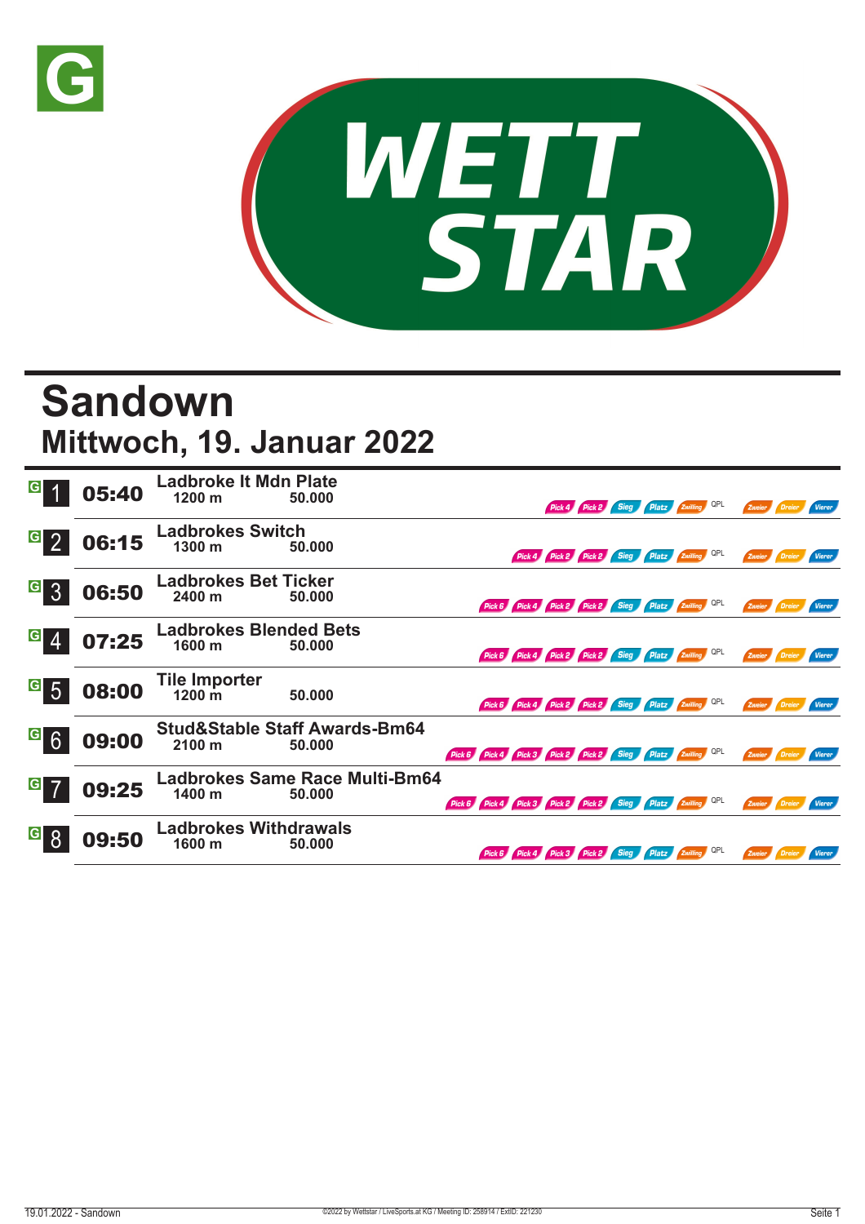



## **Sandown Mittwoch, 19. Januar 2022**

| $\vert G \vert$                   | 05:40 | <b>Ladbroke It Mdn Plate</b><br>1200 m   | 50.000                                             |                                                            |                                                     |  | Pick 4 Pick 2 Sieg Platz Zwilling QPL        |            | Zweier               | Dreier   | <b>Vierer</b> |
|-----------------------------------|-------|------------------------------------------|----------------------------------------------------|------------------------------------------------------------|-----------------------------------------------------|--|----------------------------------------------|------------|----------------------|----------|---------------|
| G <sub>2</sub>                    | 06:15 | <b>Ladbrokes Switch</b><br>1300 m        | 50.000                                             |                                                            |                                                     |  | Pick 4 Pick 2 Pick 2 Sieg Platz Zwilling QPL |            | Zweier               |          | <b>Vierer</b> |
| $\vert G \vert$<br>$\overline{3}$ | 06:50 | <b>Ladbrokes Bet Ticker</b><br>2400 m    | 50.000                                             |                                                            | Pick 6 Pick 4 Pick 2 Pick 2 Sieg Platz Zwilling QPL |  |                                              |            | Zweier <b>Dreier</b> |          | Vierer        |
| $G_{4}$                           | 07:25 | <b>Ladbrokes Blended Bets</b><br>1600 m  | 50.000                                             |                                                            | Pick 6 Pick 4 Pick 2 Pick 2 Sieg Platz 2willing     |  |                                              | <b>QPL</b> | Zweier Dreier        |          | <b>Vierer</b> |
| $\overline{G}$ 5                  | 08:00 | <b>Tile Importer</b><br>$1200 \text{ m}$ | 50.000                                             |                                                            | Pick 6 Pick 4 Pick 2 Pick 2 Sieg Platz Zwilling     |  |                                              | QPL        | Zweier               |          | <b>Vierer</b> |
| $\frac{G}{6}$                     | 09:00 | 2100 m                                   | <b>Stud&amp;Stable Staff Awards-Bm64</b><br>50.000 | Pick 6 Pick 4 Pick 3 Pick 2 Pick 2 Sieg Platz Zwilling QPL |                                                     |  |                                              |            | Zweier Dreier        |          | Vierer        |
| G                                 | 09:25 | 1400 m                                   | <b>Ladbrokes Same Race Multi-Bm64</b><br>50.000    | Pick 6 Pick 4 Pick 3 Pick 2 Pick 2 Sieg Platz Zwilling QPL |                                                     |  |                                              |            | Zweier <b>Dreier</b> |          | <b>Vierer</b> |
| $\vert G \vert$                   | 09:50 | <b>Ladbrokes Withdrawals</b><br>1600 m   | 50.000                                             |                                                            | Pick 6 Pick 4 Pick 3 Pick 2 Sieg Platz Zwilling     |  |                                              | QPL        | Zweier               | / Dreier | <b>Vierer</b> |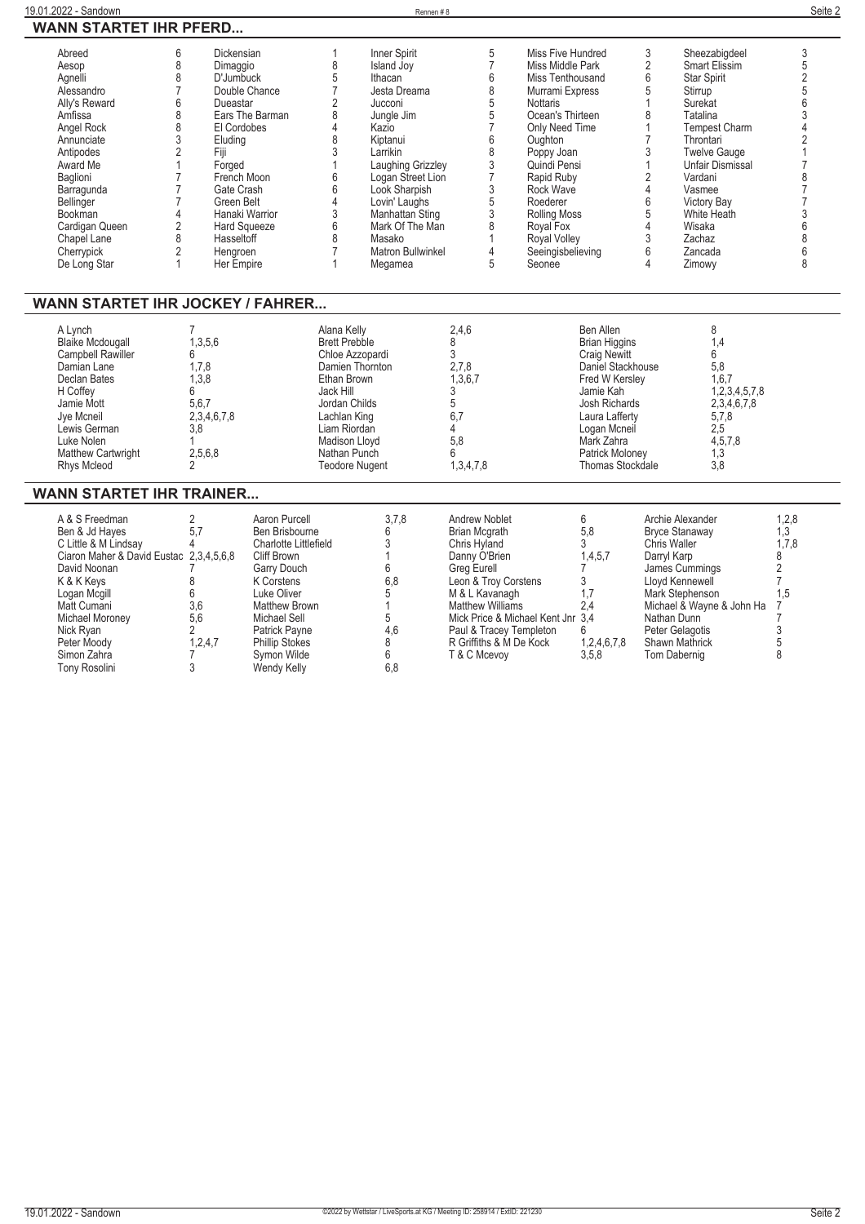| Abreed<br>Aesop<br>Agnelli<br>Alessandro<br>Ally's Reward<br>Amfissa<br>Angel Rock<br>Annunciate<br>Antipodes<br>Award Me<br>Baglioni<br>Barragunda<br>Bellinger<br>Bookman<br>Cardigan Queen | 6<br>8<br>8<br>6<br>8<br>8<br>8 | Dickensian<br>Dimaggio<br>D'Jumbuck<br>Double Chance<br>Dueastar<br>Ears The Barman<br>El Cordobes<br>Eludina<br>Fiji<br>Forged<br>French Moon<br>Gate Crash<br>Green Belt<br>Hanaki Warrior<br><b>Hard Squeeze</b><br>Hasseltoff | 8<br>5<br>6<br>6<br>6<br>8                                                                                                                                  | Inner Spirit<br>Island Joy<br>Ithacan<br>Jesta Dreama<br>Jucconi<br>Jungle Jim<br>Kazio<br>Kiptanui<br>I arrikin<br>Laughing Grizzley<br>Logan Street Lion<br>Look Sharpish<br>Lovin' Laughs<br>Manhattan Sting<br>Mark Of The Man<br>Masako | 5<br>6<br>8<br>5<br>5<br>6<br>8<br>3<br>3<br>5<br>3<br>8    | Miss Five Hundred<br>Miss Middle Park<br>Miss Tenthousand<br>Murrami Express<br><b>Nottaris</b><br>Ocean's Thirteen<br>Only Need Time<br>Oughton<br>Poppy Joan<br>Quindi Pensi<br>Rapid Ruby<br>Rock Wave<br>Roederer<br>Rolling Moss<br>Royal Fox | 3<br>$\overline{c}$<br>6<br>5<br>$\overline{2}$<br>6<br>5<br>4<br>3 | Sheezabigdeel<br>Smart Elissim<br><b>Star Spirit</b><br>Stirrup<br>Surekat<br>Tatalina<br><b>Tempest Charm</b><br>Throntari<br><b>Twelve Gauge</b><br><b>Unfair Dismissal</b><br>Vardani<br>Vasmee<br>Victory Bay<br>White Heath<br>Wisaka<br>Zachaz | 3<br>2 |
|-----------------------------------------------------------------------------------------------------------------------------------------------------------------------------------------------|---------------------------------|-----------------------------------------------------------------------------------------------------------------------------------------------------------------------------------------------------------------------------------|-------------------------------------------------------------------------------------------------------------------------------------------------------------|----------------------------------------------------------------------------------------------------------------------------------------------------------------------------------------------------------------------------------------------|-------------------------------------------------------------|----------------------------------------------------------------------------------------------------------------------------------------------------------------------------------------------------------------------------------------------------|---------------------------------------------------------------------|------------------------------------------------------------------------------------------------------------------------------------------------------------------------------------------------------------------------------------------------------|--------|
| Chapel Lane<br>Cherrypick                                                                                                                                                                     |                                 | Hengroen                                                                                                                                                                                                                          |                                                                                                                                                             | Matron Bullwinkel                                                                                                                                                                                                                            | 4<br>5                                                      | <b>Royal Volley</b><br>Seeingisbelieving<br>Seonee                                                                                                                                                                                                 | 6<br>4                                                              | Zancada                                                                                                                                                                                                                                              | 8      |
| De Long Star<br>WANN STARTET IHR JOCKEY / FAHRER                                                                                                                                              |                                 | Her Empire                                                                                                                                                                                                                        |                                                                                                                                                             | Megamea                                                                                                                                                                                                                                      |                                                             |                                                                                                                                                                                                                                                    |                                                                     | Zimowy                                                                                                                                                                                                                                               |        |
| A Lynch<br><b>Blaike Mcdougall</b><br>Campbell Rawiller<br>Damian Lane<br>Declan Bates<br>H Coffev<br>Jamie Mott<br>Jye Mcneil<br>Lewis German<br>Luke Nolen                                  | 6<br>6<br>3,8                   | 1,3,5,6<br>1,7,8<br>1,3,8<br>5,6,7<br>2, 3, 4, 6, 7, 8                                                                                                                                                                            | Alana Kelly<br><b>Brett Prebble</b><br>Chloe Azzopardi<br>Ethan Brown<br>Jack Hill<br>Jordan Childs<br>Lachlan King<br>Liam Riordan<br><b>Madison Llovd</b> | Damien Thornton                                                                                                                                                                                                                              | 2,4,6<br>8<br>3<br>2,7,8<br>1,3,6,7<br>3<br>5<br>6.7<br>5.8 | Ben Allen<br><b>Brian Higgins</b><br><b>Craig Newitt</b><br>Daniel Stackhouse<br>Fred W Kersley<br>Jamie Kah<br>Josh Richards<br>Laura Lafferty<br>Logan Mcneil<br>Mark Zahra                                                                      |                                                                     | 8<br>1,4<br>6<br>5,8<br>1,6,7<br>1,2,3,4,5,7,8<br>2,3,4,6,7,8<br>5,7,8<br>2,5<br>4,5,7,8                                                                                                                                                             |        |

## **WANN STARTET IHR TRAINER...**

**Matthew Cartwright 2,5,6,8 Nathan Punch 6 Patrick Moloney 1,3 Rhys Mcleod 2 Teodore Nugent 1,3,4,7,8 Thomas Stockdale 3,8**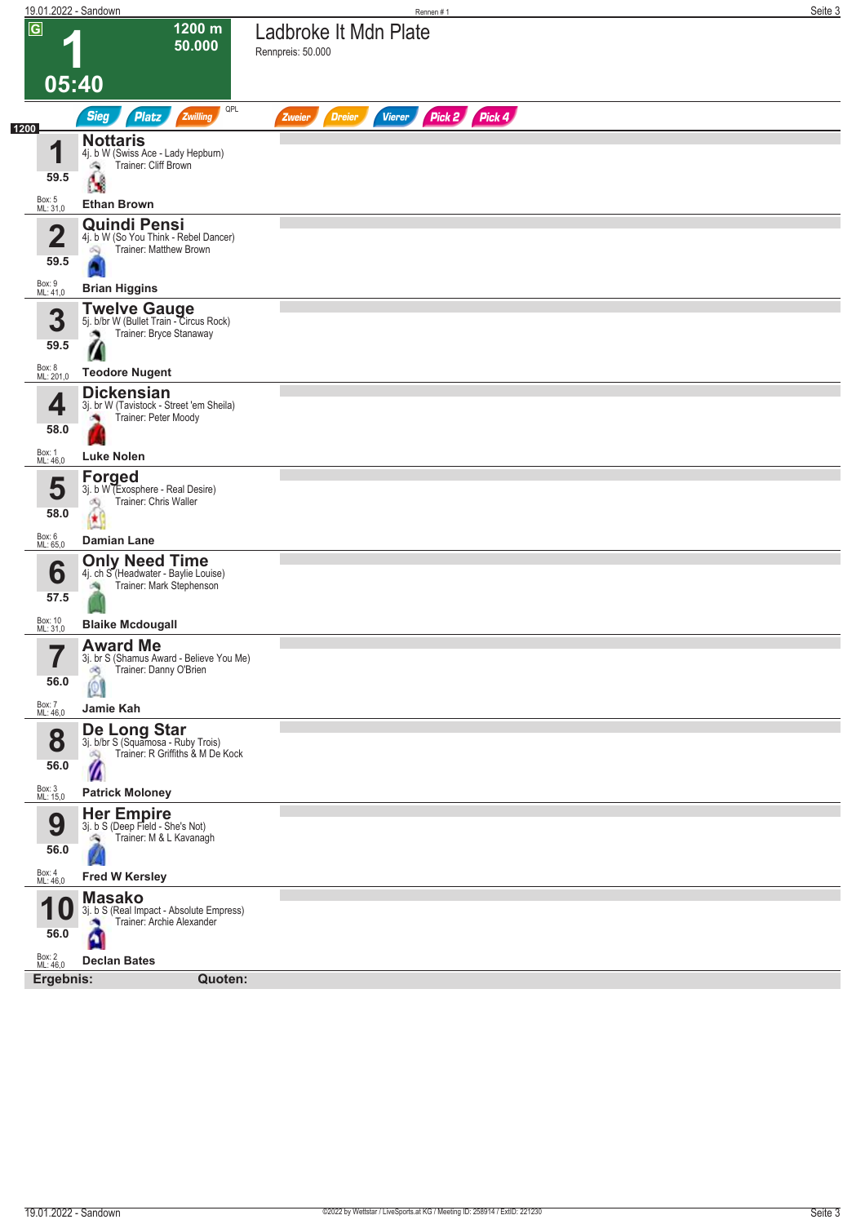| 19.01.2022 - Sandown            |                                                                                                    | Rennen #1                                                 | Seite 3 |
|---------------------------------|----------------------------------------------------------------------------------------------------|-----------------------------------------------------------|---------|
| $\overline{G}$                  | 1200 m<br>50.000                                                                                   | Ladbroke It Mdn Plate<br>Rennpreis: 50.000                |         |
| 05:40                           |                                                                                                    |                                                           |         |
| 1200                            | QPL<br>Sieg<br>Platz<br>Zwilling                                                                   | Pick 2 Pick 4<br><b>Dreier</b><br><b>Vierer</b><br>Zweier |         |
| И<br>59.5                       | <b>Nottaris</b><br>4j. b W (Swiss Ace - Lady Hepburn)<br>Trainer: Cliff Brown<br>۸<br>Ŋ            |                                                           |         |
| Box: 5<br>ML: 31,0              | <b>Ethan Brown</b>                                                                                 |                                                           |         |
| $\overline{\mathbf{2}}$<br>59.5 | <b>Quindi Pensi</b><br>4j. b W (So You Think - Rebel Dancer)<br>Trainer: Matthew Brown<br>ಷ        |                                                           |         |
| Box: 9<br>ML: 41,0              | <b>Brian Higgins</b>                                                                               |                                                           |         |
| 3<br>59.5                       | <b>Twelve Gauge</b><br>5j. b/br W (Bullet Train - Circus Rock)<br>Trainer: Bryce Stanaway<br>э     |                                                           |         |
| Box: 8<br>ML: 201,0             | <b>Teodore Nugent</b>                                                                              |                                                           |         |
| 4<br>58.0                       | <b>Dickensian</b><br>3j. br W (Tavistock - Street 'em Sheila)<br>Trainer: Peter Moody              |                                                           |         |
| Box: 1<br>ML: 46,0              | <b>Luke Nolen</b>                                                                                  |                                                           |         |
| 5<br>58.0                       | <b>Forged</b><br>3j. b W (Exosphere - Real Desire)<br>Trainer: Chris Waller<br>đQ<br>康             |                                                           |         |
| Box: 6<br>ML: 65,0              | Damian Lane                                                                                        |                                                           |         |
| 6<br>57.5                       | <b>Only Need Time</b><br>4j. ch S (Headwater - Baylie Louise)<br>Trainer: Mark Stephenson          |                                                           |         |
| Box: 10<br>ML: 31,0             | <b>Blaike Mcdougall</b>                                                                            |                                                           |         |
| 7<br>56.0                       | <b>Award Me</b><br>3j. br S (Shamus Award - Believe You Me)<br>Trainer: Danny O'Brien<br>d9<br> 0  |                                                           |         |
| Box: 7<br>ML: 46,0              | Jamie Kah                                                                                          |                                                           |         |
| 8<br>56.0                       | De Long Star<br>3j. b/br S (Squamosa - Ruby Trois)<br>Trainer: R Griffiths & M De Kock<br>dQ.<br>Ø |                                                           |         |
| Box: 3<br>ML: 15,0              | <b>Patrick Moloney</b>                                                                             |                                                           |         |
| 9<br>56.0                       | <b>Her Empire</b><br>3j. b S (Deep Field - She's Not)<br>Trainer: M & L Kavanagh<br>۵ij            |                                                           |         |
| Box: 4<br>ML: 46,0              | <b>Fred W Kersley</b>                                                                              |                                                           |         |
| И<br>56.0                       | <b>Masako</b><br>3j. b S (Real Impact - Absolute Empress)<br>Trainer: Archie Alexander             |                                                           |         |
| Box: 2<br>ML: 46,0              | <b>Declan Bates</b>                                                                                |                                                           |         |
| Ergebnis:                       | Quoten:                                                                                            |                                                           |         |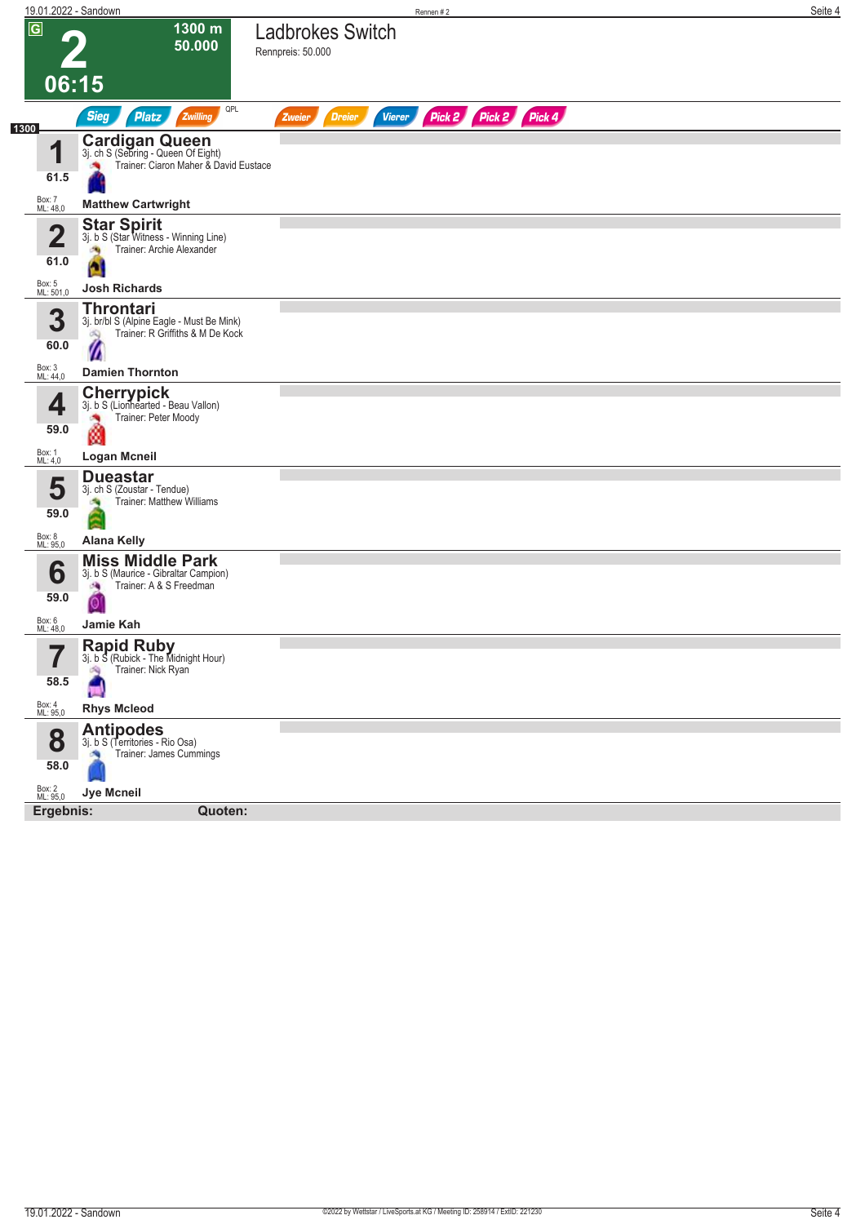| 19.01.2022 - Sandown        |                                                                                                           | Rennen#2                                                         | Seite 4 |
|-----------------------------|-----------------------------------------------------------------------------------------------------------|------------------------------------------------------------------|---------|
| $\overline{G}$              | 1300 m<br>50.000                                                                                          | <b>Ladbrokes Switch</b><br>Rennpreis: 50.000                     |         |
| 06:15                       |                                                                                                           |                                                                  |         |
|                             | QPL<br><b>Sieg</b><br><b>Platz</b><br>Zwilling                                                            | Pick 2 Pick 2 Pick 4<br><b>Dreier</b><br><b>Vierer</b><br>Zweier |         |
| 1300                        |                                                                                                           |                                                                  |         |
| 1<br>61.5                   | <b>Cardigan Queen</b><br>3j. ch S (Sebring - Queen Of Eight)<br>Trainer: Ciaron Maher & David Eustace     |                                                                  |         |
| Box: 7<br>ML: 48,0          | <b>Matthew Cartwright</b>                                                                                 |                                                                  |         |
| $\mathbf 2$                 | <b>Star Spirit</b><br>3j. b S (Star Witness - Winning Line)<br>Trainer: Archie Alexander<br>$\mathcal{R}$ |                                                                  |         |
| 61.0<br>Box: 5<br>ML: 501,0 | a<br><b>Josh Richards</b>                                                                                 |                                                                  |         |
| 3<br>60.0                   | <b>Throntari</b><br>3j. br/bl S (Alpine Eagle - Must Be Mink)<br>Trainer: R Griffiths & M De Kock<br>dQ.  |                                                                  |         |
| Box: 3<br>ML: 44,0          | Ø<br><b>Damien Thornton</b>                                                                               |                                                                  |         |
| 4                           | <b>Cherrypick</b><br>3j. b S (Lionhearted - Beau Vallon)<br>Trainer: Peter Moody                          |                                                                  |         |
| 59.0<br>Box: 1<br>ML: 4,0   | ø<br><b>Logan Mcneil</b>                                                                                  |                                                                  |         |
|                             | <b>Dueastar</b>                                                                                           |                                                                  |         |
| 5<br>59.0                   | 3j. ch S (Zoustar - Tendue)<br><b>Trainer: Matthew Williams</b><br>đ.<br>Ξ                                |                                                                  |         |
| Box: 8<br>ML: 95,0          | <b>Alana Kelly</b>                                                                                        |                                                                  |         |
| 6                           | <b>Miss Middle Park</b><br>3j. b S (Maurice - Gibraltar Campion)<br>Trainer: A & S Freedman<br>A          |                                                                  |         |
| 59.0<br>Box: 6<br>ML: 48,0  | 0<br>Jamie Kah                                                                                            |                                                                  |         |
| 7<br>I<br>58.5              | Rapid Ruby<br>3j. b S (Rubick - The Midnight Hour)<br>Trainer: Nick Ryan<br>鸿                             |                                                                  |         |
| Box: 4<br>ML: 95,0          | <b>Rhys Mcleod</b>                                                                                        |                                                                  |         |
| 8<br>58.0                   | <b>Antipodes</b><br>3j. b S (Territories - Rio Osa)<br>Trainer: James Cummings                            |                                                                  |         |
| Box: 2<br>ML: 95,0          | <b>Jye Mcneil</b>                                                                                         |                                                                  |         |
| Ergebnis:                   | <b>Quoten:</b>                                                                                            |                                                                  |         |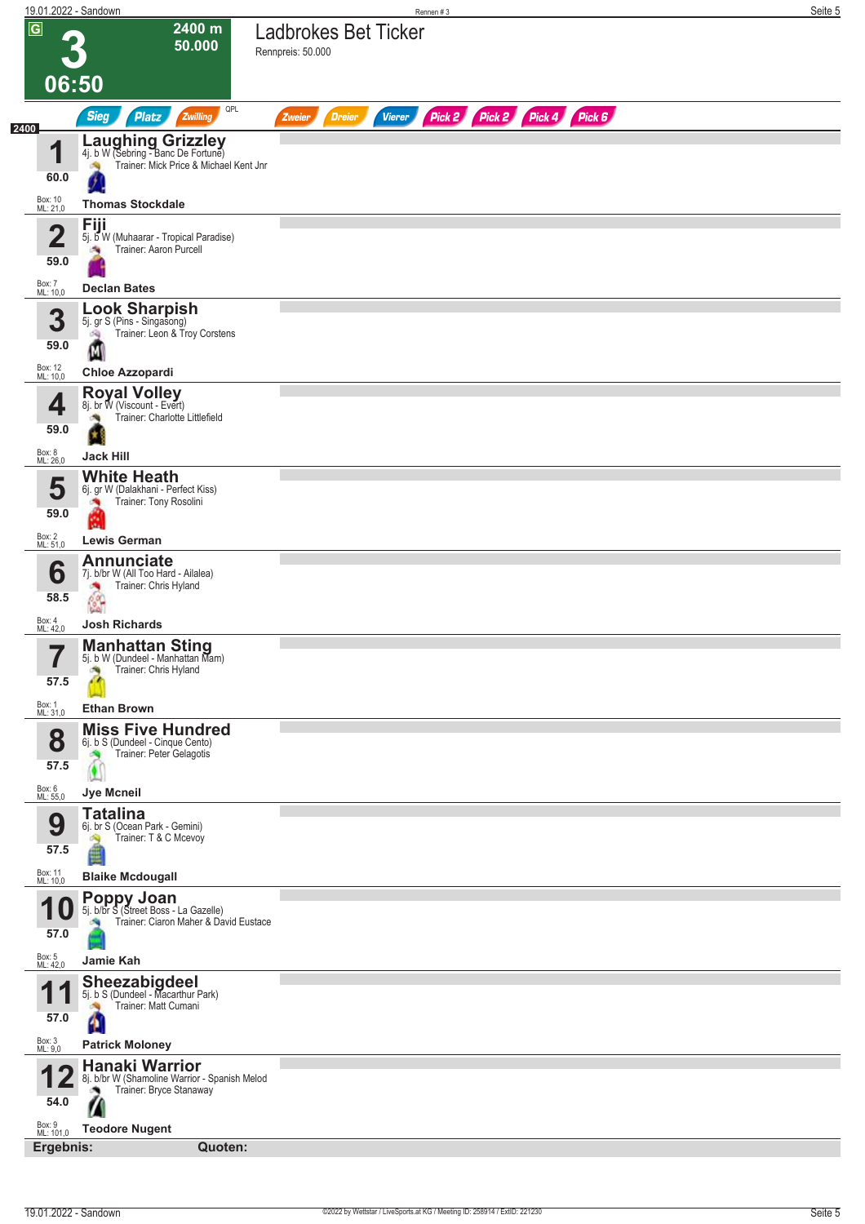| 19.01.2022 - Sandown        |                                                                                                           | Rennen#3                                                                | Seite 5 |
|-----------------------------|-----------------------------------------------------------------------------------------------------------|-------------------------------------------------------------------------|---------|
| $\overline{G}$              | 2400 m<br>50.000                                                                                          | <b>Ladbrokes Bet Ticker</b><br>Rennpreis: 50.000                        |         |
| 06:50                       |                                                                                                           |                                                                         |         |
|                             | QPL<br><b>Sieg</b><br>Platz<br>Zwilling                                                                   | Pick 2 Pick 2 Pick 4 Pick 6<br><b>Dreier</b><br><b>Vierer</b><br>Zweier |         |
| 2400<br>1<br>60.0           | <b>Laughing Grizzley</b><br>4j. b W (Sebring - Banc De Fortune)<br>Trainer: Mick Price & Michael Kent Jnr |                                                                         |         |
| Box: 10<br>ML: 21,0         | <b>Thomas Stockdale</b>                                                                                   |                                                                         |         |
|                             | Fiji                                                                                                      |                                                                         |         |
| 2<br>59.0                   | 5j. b W (Muhaarar - Tropical Paradise)<br>Trainer: Aaron Purcell                                          |                                                                         |         |
| Box: 7<br>ML: 10,0          | <b>Declan Bates</b>                                                                                       |                                                                         |         |
| 3<br>59.0                   | <b>Look Sharpish</b><br>5j. gr S (Pins - Singasong)<br>Trainer: Leon & Troy Corstens<br>啕                 |                                                                         |         |
|                             | М                                                                                                         |                                                                         |         |
| Box: 12<br>ML: 10,0         | <b>Chloe Azzopardi</b><br><b>Royal Volley</b>                                                             |                                                                         |         |
| 4<br>59.0                   | 8j. br W (Viscount - Evert)<br>Trainer: Charlotte Littlefield                                             |                                                                         |         |
| Box: 8<br>ML: 26,0          | <b>Jack Hill</b>                                                                                          |                                                                         |         |
| 5<br>59.0                   | <b>White Heath</b><br>6j. gr W (Dalakhani - Perfect Kiss)<br>Trainer: Tony Rosolini<br><b>PA</b>          |                                                                         |         |
| Box: 2<br>ML: 51,0          | đ<br><b>Lewis German</b>                                                                                  |                                                                         |         |
|                             | <b>Annunciate</b>                                                                                         |                                                                         |         |
| 6<br>58.5                   | 7j. b/br W (All Too Hard - Ailalea)<br>Trainer: Chris Hyland<br>×,<br>$\frac{1}{2}$                       |                                                                         |         |
| Box: 4<br>ML: 42,0          | <b>Josh Richards</b>                                                                                      |                                                                         |         |
| 7<br>$\blacksquare$<br>57.5 | <b>Manhattan Sting</b><br>5j. b W (Dundeel - Manhattan Mam)<br>Trainer: Chris Hyland                      |                                                                         |         |
| Box: 1<br>ML: 31,0          | <b>Ethan Brown</b>                                                                                        |                                                                         |         |
| 8<br>57.5                   | <b>Miss Five Hundred</b><br>6j. b S (Dundeel - Cinque Cento)<br>Trainer: Peter Gelagotis<br>$\bullet$     |                                                                         |         |
| Box: 6<br>ML: 55,0          | Jye Mcneil                                                                                                |                                                                         |         |
| 9<br>57.5                   | <b>Tatalina</b><br>6j. br S (Ocean Park - Gemini)<br>Trainer: T & C Mcevoy                                |                                                                         |         |
| Box: 11<br>ML: 10,0         | <b>Blaike Mcdougall</b>                                                                                   |                                                                         |         |
| 1 U<br>57.0                 | <b>Poppy Joan</b><br>5j. b/br S (Street Boss - La Gazelle)<br>Trainer: Ciaron Maher & David Eustace       |                                                                         |         |
| Box: 5<br>ML: 42,0          | Jamie Kah                                                                                                 |                                                                         |         |
| И<br>и                      | <b>Sheezabigdeel</b><br>5j. b S (Dundeel - Macarthur Park)<br>Trainer: Matt Cumani                        |                                                                         |         |
| 57.0                        | A                                                                                                         |                                                                         |         |
| Box: 3<br>ML: 9,0           | <b>Patrick Moloney</b><br><b>Hanaki Warrior</b>                                                           |                                                                         |         |
| 54.0                        | 8j. b/br W (Shamoline Warrior - Spanish Melod<br>Trainer: Bryce Stanaway                                  |                                                                         |         |
| Box: 9<br>ML: 101,0         | <b>Teodore Nugent</b>                                                                                     |                                                                         |         |
|                             | Ergebnis:<br>Quoten:                                                                                      |                                                                         |         |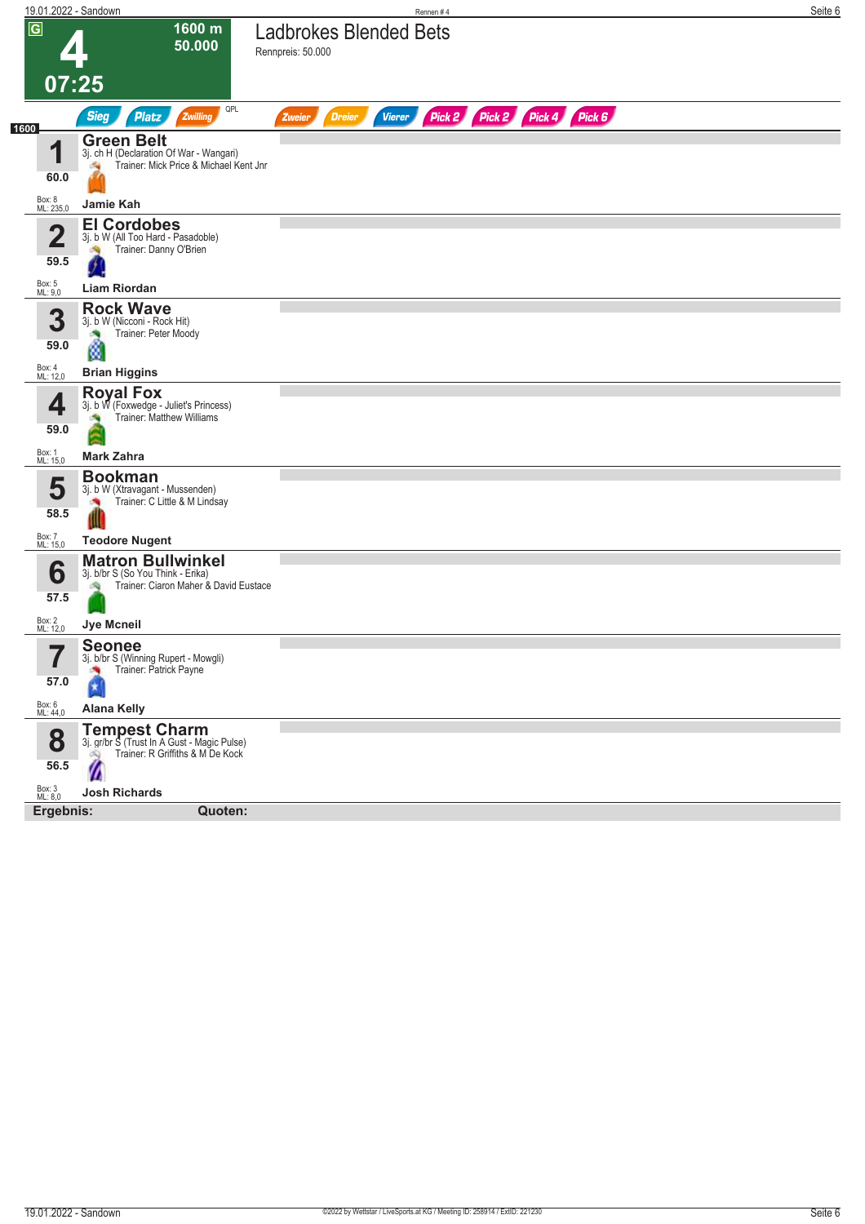| 19.01.2022 - Sandown            |                                                                                                              | Rennen#4                                                                   | Seite 6 |
|---------------------------------|--------------------------------------------------------------------------------------------------------------|----------------------------------------------------------------------------|---------|
| $\overline{G}$                  | 1600 m<br>50.000                                                                                             | <b>Ladbrokes Blended Bets</b><br>Rennpreis: 50.000                         |         |
| 07:25                           |                                                                                                              |                                                                            |         |
|                                 | QPL<br><b>Sieg</b><br><b>Platz</b><br>Zwilling                                                               | Pick 2 Pick 4 Pick 6<br>Pick 2<br><b>Dreier</b><br><b>Vierer</b><br>Zweier |         |
| 1600                            | <b>Green Belt</b>                                                                                            |                                                                            |         |
| 4                               | 3j. ch H (Declaration Of War - Wangari)<br>Trainer: Mick Price & Michael Kent Jnr<br>海                       |                                                                            |         |
| 60.0                            |                                                                                                              |                                                                            |         |
| Box: 8<br>ML: 235,0             | Jamie Kah                                                                                                    |                                                                            |         |
| $\overline{\mathbf{2}}$<br>59.5 | <b>El Cordobes</b><br>3j. b W (All Too Hard - Pasadoble)<br>Trainer: Danny O'Brien                           |                                                                            |         |
| Box: 5<br>ML: 9,0               | <b>Liam Riordan</b>                                                                                          |                                                                            |         |
| 3<br>59.0                       | <b>Rock Wave</b><br>3j. b W (Nicconi - Rock Hit)<br>Trainer: Peter Moody                                     |                                                                            |         |
| Box: 4<br>ML: 12,0              | ø<br><b>Brian Higgins</b>                                                                                    |                                                                            |         |
|                                 | <b>Royal Fox</b>                                                                                             |                                                                            |         |
| 4<br>59.0                       | 3j. b W (Foxwedge - Juliet's Princess)<br>Trainer: Matthew Williams<br><b>CAN</b>                            |                                                                            |         |
| Box: 1<br>ML: 15,0              | <b>Mark Zahra</b>                                                                                            |                                                                            |         |
| 5<br>58.5                       | <b>Bookman</b><br>3j. b W (Xtravagant - Mussenden)<br>Trainer: C Little & M Lindsay                          |                                                                            |         |
| Box: 7<br>ML: 15,0              | <b>Teodore Nugent</b>                                                                                        |                                                                            |         |
| 6<br>57.5                       | <b>Matron Bullwinkel</b><br>3j. b/br S (So You Think - Erika)<br>Trainer: Ciaron Maher & David Eustace<br>淘  |                                                                            |         |
| Box: 2<br>ML: 12,0              | <b>Jye Mcneil</b>                                                                                            |                                                                            |         |
| ب کا<br>57.0                    | <b>Seonee</b><br>3j. b/br S (Winning Rupert - Mowgli)<br>Trainer: Patrick Payne<br>×<br>$\pmb{\ast}$         |                                                                            |         |
| Box: 6<br>ML: 44,0              | <b>Alana Kelly</b>                                                                                           |                                                                            |         |
| 8<br>56.5                       | <b>Tempest Charm</b><br>3j. gr/br S (Trust In A Gust - Magic Pulse)<br>Trainer: R Griffiths & M De Kock<br>Ø |                                                                            |         |
| Box: 3<br>ML: 8,0               | <b>Josh Richards</b>                                                                                         |                                                                            |         |
| Ergebnis:                       | Quoten:                                                                                                      |                                                                            |         |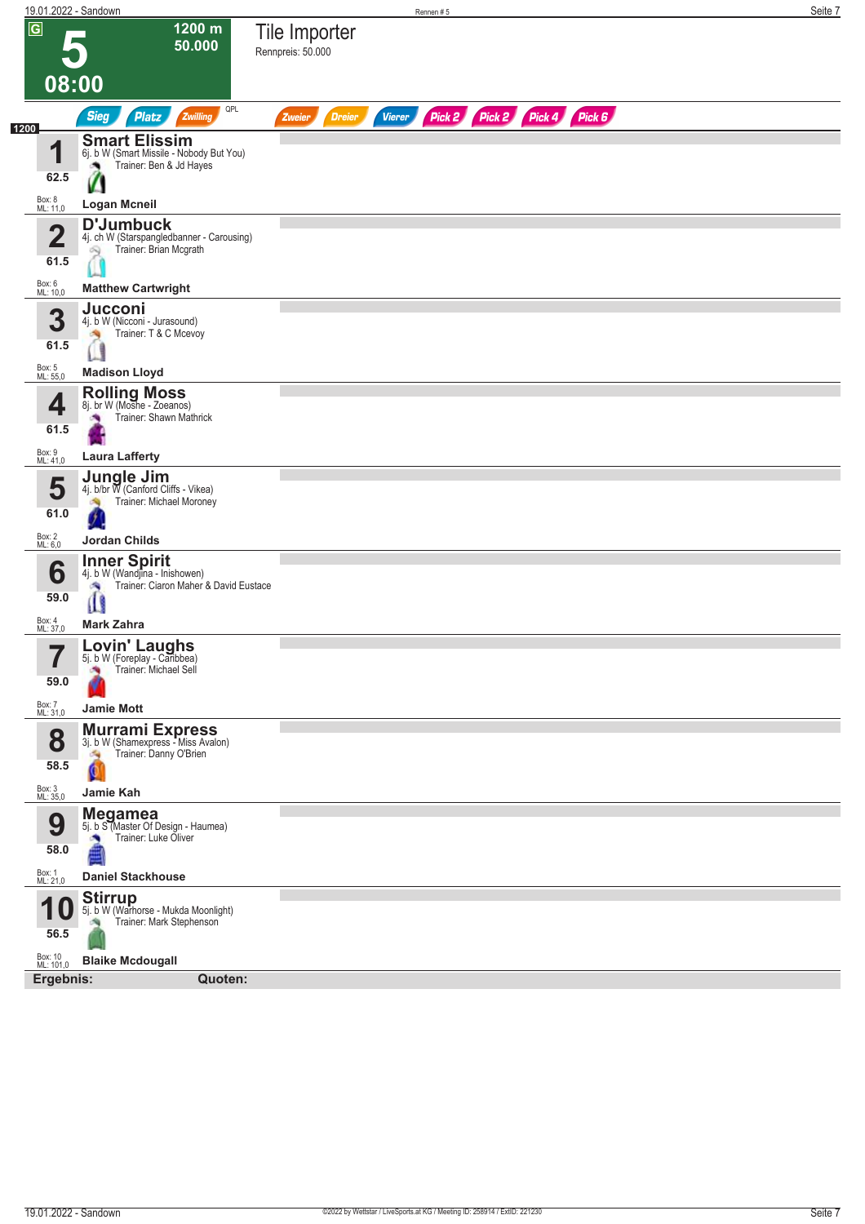|                                                   | 19.01.2022 - Sandown                                                                                                          |                                    | Rennen#5      |                             |  | Seite 7 |
|---------------------------------------------------|-------------------------------------------------------------------------------------------------------------------------------|------------------------------------|---------------|-----------------------------|--|---------|
| $\overline{G}$                                    | 1200 m<br>50.000<br>08:00                                                                                                     | Tile Importer<br>Rennpreis: 50.000 |               |                             |  |         |
|                                                   | QPL<br><b>Sieg</b><br><b>Platz</b><br>Zwilling                                                                                | <b>Dreier</b><br>Zweier            | <b>Vierer</b> | Pick 2 Pick 2 Pick 4 Pick 6 |  |         |
| 1200<br>и<br>62.5                                 | <b>Smart Elissim</b><br>6j. b W (Smart Missile - Nobody But You)<br>Trainer: Ben & Jd Hayes                                   |                                    |               |                             |  |         |
| Box: 8<br>ML: 11,0                                | <b>Logan Mcneil</b>                                                                                                           |                                    |               |                             |  |         |
| $\overline{\mathbf{2}}$<br>61.5                   | <b>D'Jumbuck</b><br>4j. ch W (Starspangledbanner - Carousing)<br>Trainer: Brian Mcgrath<br>Q                                  |                                    |               |                             |  |         |
| Box: 6<br>ML: 10,0                                | <b>Matthew Cartwright</b>                                                                                                     |                                    |               |                             |  |         |
| 3<br>61.5<br>Box: 5<br>ML: 55,0                   | <b>Jucconi</b><br>4j. b W (Nicconi - Jurasound)<br>Trainer: T & C Mcevoy<br>裪<br><b>Madison Lloyd</b>                         |                                    |               |                             |  |         |
| 4<br>61.5                                         | <b>Rolling Moss</b><br>8j. br W (Moshe - Zoeanos)<br>Trainer: Shawn Mathrick                                                  |                                    |               |                             |  |         |
| Box: 9<br>ML: 41,0                                | <b>Laura Lafferty</b>                                                                                                         |                                    |               |                             |  |         |
| 5<br>61.0<br>Box: 2<br>ML: 6,0                    | Jungle Jim<br>4j. b/br W (Canford Cliffs - Vikea)<br>Trainer: Michael Moroney<br><b>Jordan Childs</b>                         |                                    |               |                             |  |         |
| 6<br>59.0<br>Box: 4<br>ML: 37,0                   | <b>Inner Spirit</b><br>4j. b W (Wandjina - Inishowen)<br>Trainer: Ciaron Maher & David Eustace<br>×<br>Ш<br><b>Mark Zahra</b> |                                    |               |                             |  |         |
| 7<br>$\blacksquare$<br>59.0<br>Box: 7<br>ML: 31,0 | Lovin' Laughs<br>5j. b W (Foreplay - Caribbea)<br>Trainer: Michael Sell<br>×<br><b>Jamie Mott</b>                             |                                    |               |                             |  |         |
| 8<br>58.5                                         | <b>Murrami Express</b><br>3j. b W (Shamexpress - Miss Avalon)<br>Trainer: Danny O'Brien<br>淘<br>Q                             |                                    |               |                             |  |         |
| Box: 3<br>ML: 35,0<br>9<br>58.0                   | Jamie Kah<br><b>Megamea</b><br>5j. b S (Master Of Design - Haumea)<br>Trainer: Luke Oliver<br>×                               |                                    |               |                             |  |         |
| Box: 1<br>ML: 21,0                                | <b>Daniel Stackhouse</b>                                                                                                      |                                    |               |                             |  |         |
| 56.5<br>Box: 10<br>ML: 101,0                      | Stirrup<br>5j. b W (Warhorse - Mukda Moonlight)<br>Trainer: Mark Stephenson<br>询<br><b>Blaike Mcdougall</b>                   |                                    |               |                             |  |         |
| Ergebnis:                                         | Quoten:                                                                                                                       |                                    |               |                             |  |         |
|                                                   |                                                                                                                               |                                    |               |                             |  |         |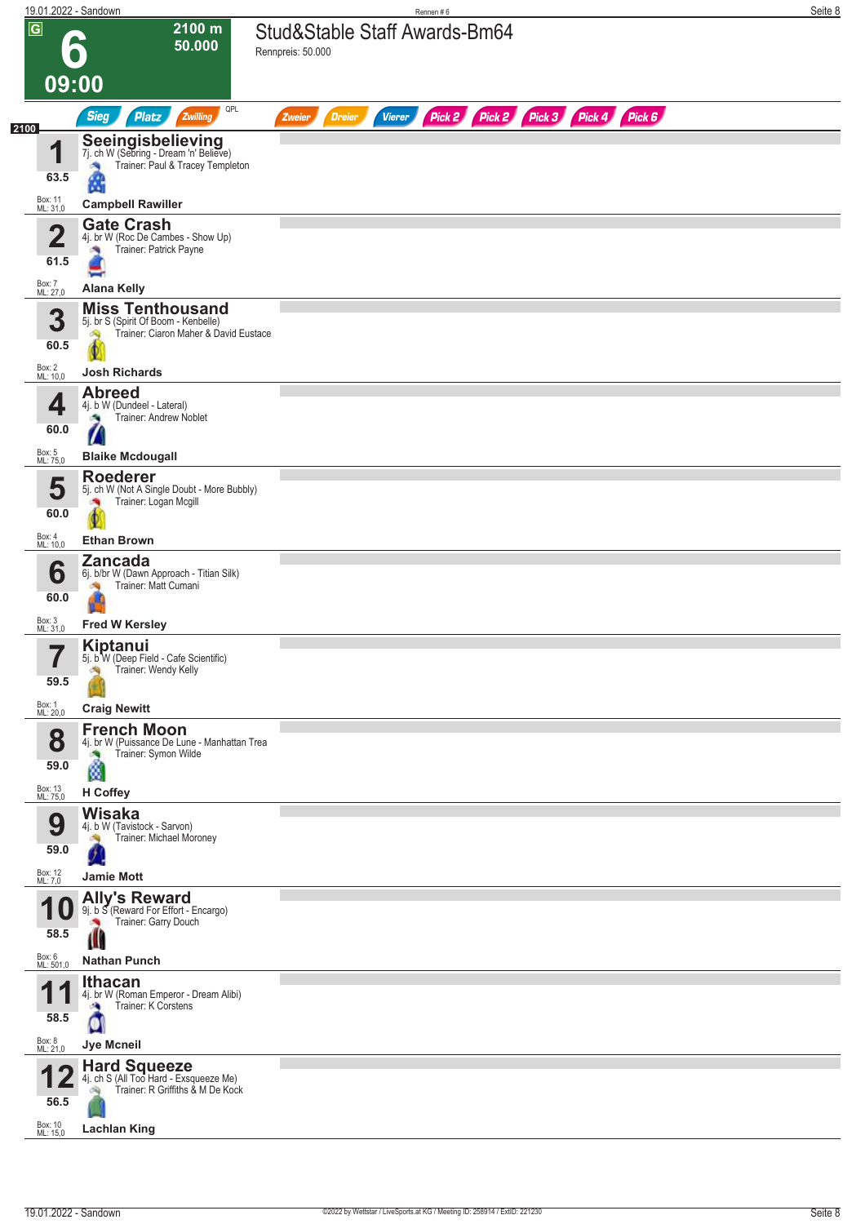| 19.01.2022 - Sandown            |                                                                                                   | Rennen#6                                                                       | Seite 8 |
|---------------------------------|---------------------------------------------------------------------------------------------------|--------------------------------------------------------------------------------|---------|
| $\overline{G}$<br>09:00         | 2100 m<br>50.000<br>$\bullet$                                                                     | Stud&Stable Staff Awards-Bm64<br>Rennpreis: 50.000                             |         |
|                                 | QPL<br><b>Sieg</b><br>Platz<br>Zwilling                                                           | Pick 2 Pick 2 Pick 3 Pick 4 Pick 6<br><b>Vierer</b><br><b>Dreier</b><br>Zweier |         |
| 2100                            | Seeingisbelieving<br>7j. ch W (Sebring - Dream 'n' Believe)                                       |                                                                                |         |
| 1<br>63.5                       | Trainer: Paul & Tracey Templeton                                                                  |                                                                                |         |
| Box: 11<br>ML: 31,0             | а<br><b>Campbell Rawiller</b>                                                                     |                                                                                |         |
|                                 | <b>Gate Crash</b>                                                                                 |                                                                                |         |
| $\overline{\mathbf{2}}$<br>61.5 | 4j. br W (Roc De Cambes - Show Up)<br>Trainer: Patrick Payne<br>洩                                 |                                                                                |         |
| Box: 7<br>ML: 27,0              | <b>Alana Kelly</b>                                                                                |                                                                                |         |
|                                 | <b>Miss Tenthousand</b>                                                                           |                                                                                |         |
| 3<br>60.5                       | 5j. br S (Spirit Of Boom - Kenbelle)<br>Trainer: Ciaron Maher & David Eustace<br>Ą                |                                                                                |         |
| Box: 2<br>ML: 10,0              | <b>Josh Richards</b>                                                                              |                                                                                |         |
| 4<br>60.0                       | <b>Abreed</b><br>4j. b W (Dundeel - Lateral)<br>Trainer: Andrew Noblet<br>a,<br>$\sqrt{2}$        |                                                                                |         |
| Box: 5<br>ML: 75,0              | <b>Blaike Mcdougall</b>                                                                           |                                                                                |         |
| 5<br>60.0                       | <b>Roederer</b><br>5j. ch W (Not A Single Doubt - More Bubbly)<br>Trainer: Logan Mcgill           |                                                                                |         |
| Box: 4<br>ML: 10,0              | <b>Ethan Brown</b><br><b>Zancada</b>                                                              |                                                                                |         |
| 6<br>60.0                       | 6j. b/br W (Dawn Approach - Titian Silk)<br>Trainer: Matt Cumani                                  |                                                                                |         |
| Box: 3<br>ML: 31,0              | <b>Fred W Kersley</b>                                                                             |                                                                                |         |
| 7<br>$\blacksquare$<br>59.5     | <b>Kiptanui</b><br>5j. b W (Deep Field - Cafe Scientific)<br>Trainer: Wendy Kelly<br>沟            |                                                                                |         |
| Box: 1<br>ML: 20,0              | <b>Craig Newitt</b>                                                                               |                                                                                |         |
| 8<br>59.0                       | <b>French Moon</b><br>4j. br W (Puissance De Lune - Manhattan Trea<br>Trainer: Symon Wilde<br>ø   |                                                                                |         |
| Box: 13<br>ML: 75,0             | <b>H</b> Coffey                                                                                   |                                                                                |         |
| 9<br>59.0                       | <b>Wisaka</b><br>4j. b W (Tavistock - Sarvon)<br>Trainer: Michael Moroney                         |                                                                                |         |
| Box: 12<br>ML: 7,0              | <b>Jamie Mott</b><br><b>Ally's Reward</b>                                                         |                                                                                |         |
| 58.5                            | 9j. b S (Reward For Effort - Encargo)<br>Trainer: Garry Douch<br>Ш                                |                                                                                |         |
| Box: 6<br>ML: 501,0             | <b>Nathan Punch</b>                                                                               |                                                                                |         |
| И<br>58.5                       | <b>Ithacan</b><br>4j. br W (Roman Emperor - Dream Alibi)<br>Trainer: K Corstens<br>a,<br>Q        |                                                                                |         |
| Box: 8<br>ML: 21,0              | <b>Jye Mcneil</b>                                                                                 |                                                                                |         |
| 56.5                            | <b>Hard Squeeze</b><br>4j. ch S (All Too Hard - Exsqueeze Me)<br>Trainer: R Griffiths & M De Kock |                                                                                |         |
| Box: 10<br>ML: 15,0             | <b>Lachlan King</b>                                                                               |                                                                                |         |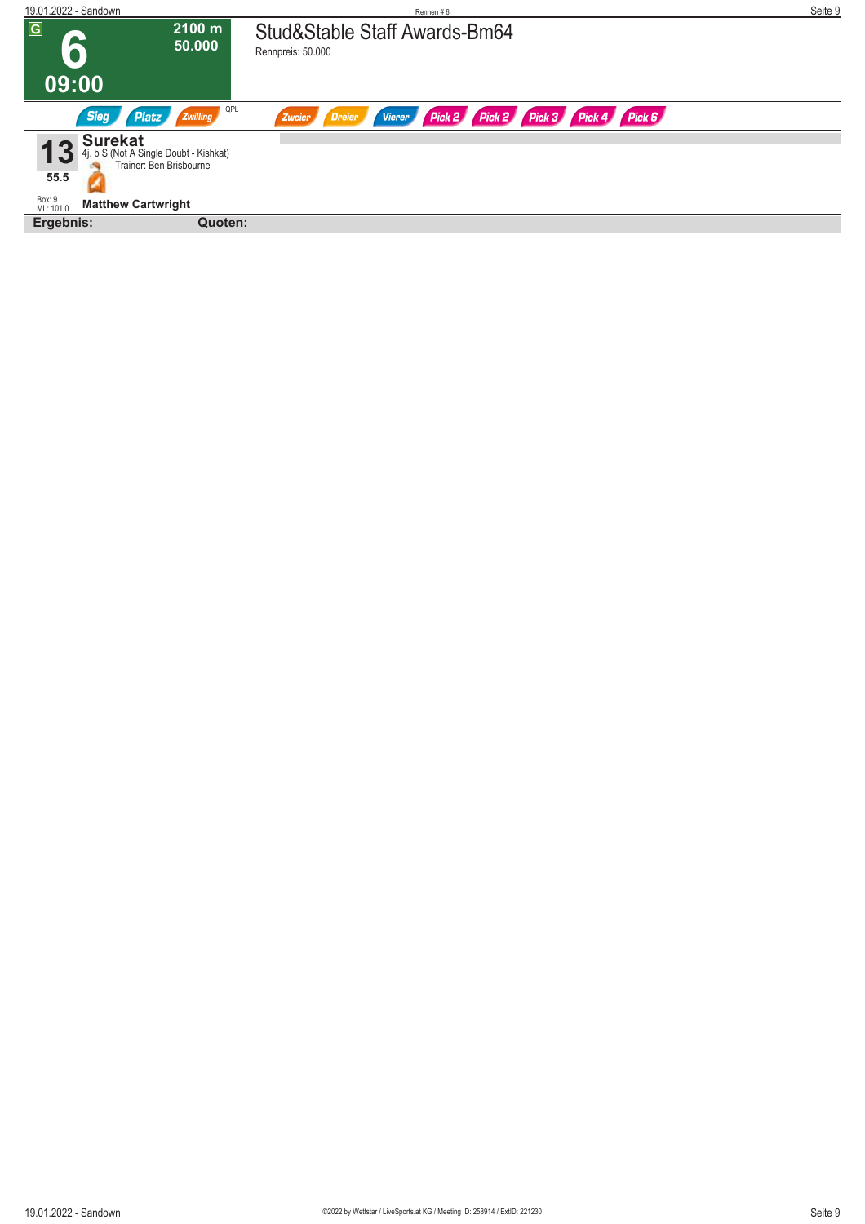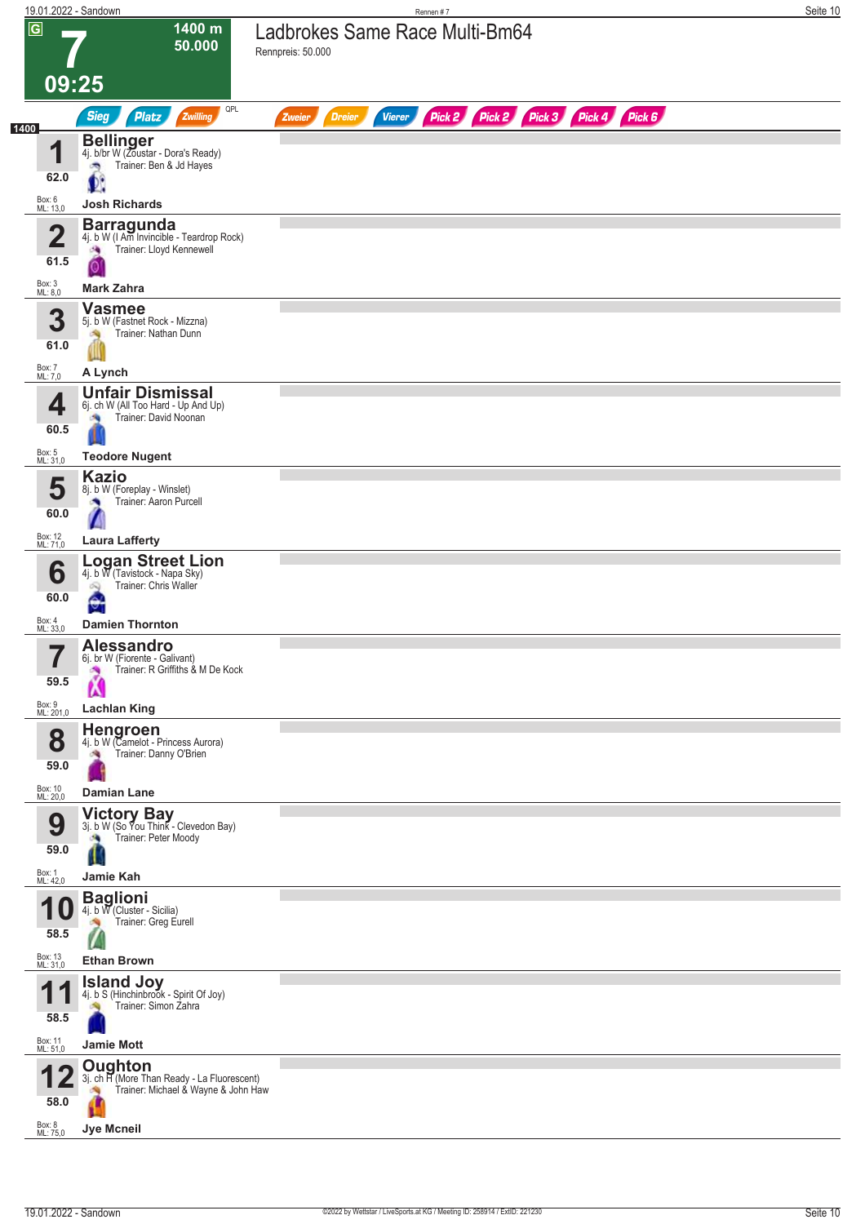|                |                             | 19.01.2022 - Sandown                                                                                | Rennen#7                                                                       | Seite 10 |
|----------------|-----------------------------|-----------------------------------------------------------------------------------------------------|--------------------------------------------------------------------------------|----------|
| $\overline{G}$ |                             | 1400 m<br>50.000                                                                                    | Ladbrokes Same Race Multi-Bm64<br>Rennpreis: 50.000                            |          |
|                | 09:25                       |                                                                                                     |                                                                                |          |
|                |                             | QPL<br><b>Sieg</b><br>Zwilling<br><b>Platz</b>                                                      | Pick 2 Pick 2 Pick 3 Pick 4 Pick 6<br><b>Dreier</b><br><b>Vierer</b><br>Zweier |          |
| 1400           | И<br>62.0                   | <b>Bellinger</b><br>4j. b/br W (Zoustar - Dora's Ready)<br>Trainer: Ben & Jd Hayes                  |                                                                                |          |
|                | Box: 6<br>ML: 13,0          | <b>Josh Richards</b>                                                                                |                                                                                |          |
|                | $\mathbf 2$<br>61.5         | <b>Barragunda</b><br>4j. b W (LAm Invincible - Teardrop Rock)<br>Trainer: Lloyd Kennewell<br>A<br>О |                                                                                |          |
|                | Box: 3<br>ML: 8,0           | <b>Mark Zahra</b>                                                                                   |                                                                                |          |
|                | 3<br>61.0                   | <b>Vasmee</b><br>5j. b W (Fastnet Rock - Mizzna)<br>Trainer: Nathan Dunn                            |                                                                                |          |
|                | Box: 7<br>ML: 7,0           | A Lynch                                                                                             |                                                                                |          |
|                | 4<br>60.5                   | <b>Unfair Dismissal</b><br>6j. ch W (All Too Hard - Up And Up)<br>Trainer: David Noonan             |                                                                                |          |
|                | Box: 5<br>ML: 31,0          | <b>Teodore Nugent</b><br><b>Kazio</b>                                                               |                                                                                |          |
|                | 5<br>60.0                   | 8j. b W (Foreplay - Winslet)<br>Trainer: Aaron Purcell                                              |                                                                                |          |
|                | Box: 12<br>ML: 71,0         | <b>Laura Lafferty</b>                                                                               |                                                                                |          |
|                | 6<br>60.0                   | Logan Street Lion<br>4j. b W (Tavistock - Napa Sky)<br>Trainer: Chris Waller<br>Q<br>v.             |                                                                                |          |
|                | Box: 4<br>ML: 33,0          | <b>Damien Thornton</b>                                                                              |                                                                                |          |
|                | 7<br>$\blacksquare$<br>59.5 | <b>Alessandro</b><br>6j. br W (Fiorente - Galivant)<br>Trainer: R Griffiths & M De Kock<br>×        |                                                                                |          |
|                | Box: 9<br>ML: 201,0         | <b>Lachlan King</b>                                                                                 |                                                                                |          |
|                | 8<br>59.0                   | <b>Hengroen</b><br>4j. b W (Camelot - Princess Aurora)<br>Trainer: Danny O'Brien                    |                                                                                |          |
|                | Box: 10<br>ML: 20,0         | Damian Lane<br><b>Victory Bay</b>                                                                   |                                                                                |          |
|                | 9<br>59.0                   | 3j. b W (So You Think - Clevedon Bay)<br>Trainer: Peter Moody<br>æ,                                 |                                                                                |          |
|                | Box: 1<br>ML: 42,0          | Jamie Kah                                                                                           |                                                                                |          |
|                | U<br>58.5                   | <b>Baglioni</b><br>4j. b W (Cluster - Sicilia)<br>Trainer: Greg Eurell<br><b>CALL</b>               |                                                                                |          |
|                | Box: 13<br>ML: 31,0         | <b>Ethan Brown</b>                                                                                  |                                                                                |          |
|                | и<br>58.5                   | <b>Island Joy</b><br>4j. b S (Hinchinbrook - Spirit Of Joy)<br>Trainer: Simon Zahra                 |                                                                                |          |
|                | Box: 11<br>ML: 51,0         | <b>Jamie Mott</b>                                                                                   |                                                                                |          |
|                | 58.0<br>Box: 8              | Oughton<br>3j. ch H (More Than Ready - La Fluorescent)<br>Trainer: Michael & Wayne & John Haw       |                                                                                |          |
|                | ML: 75,0                    | Jye Mcneil                                                                                          |                                                                                |          |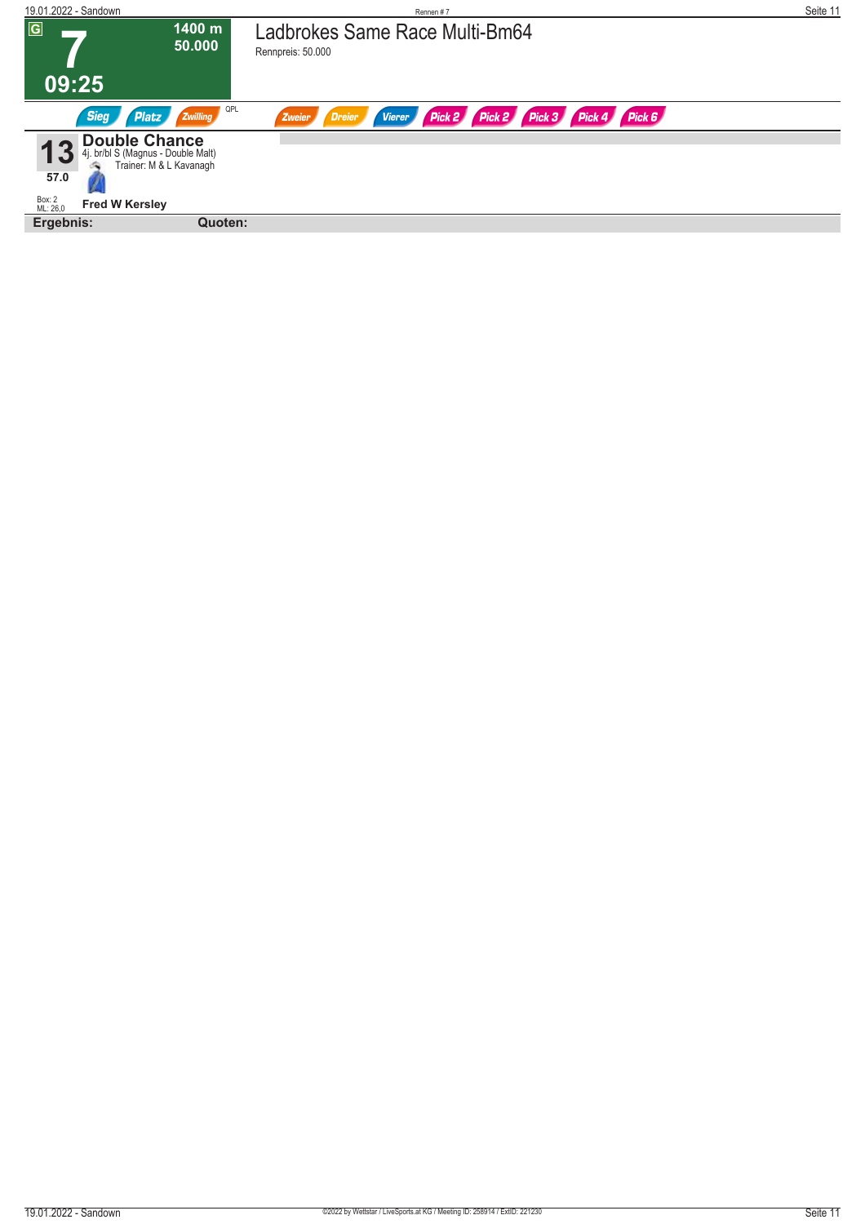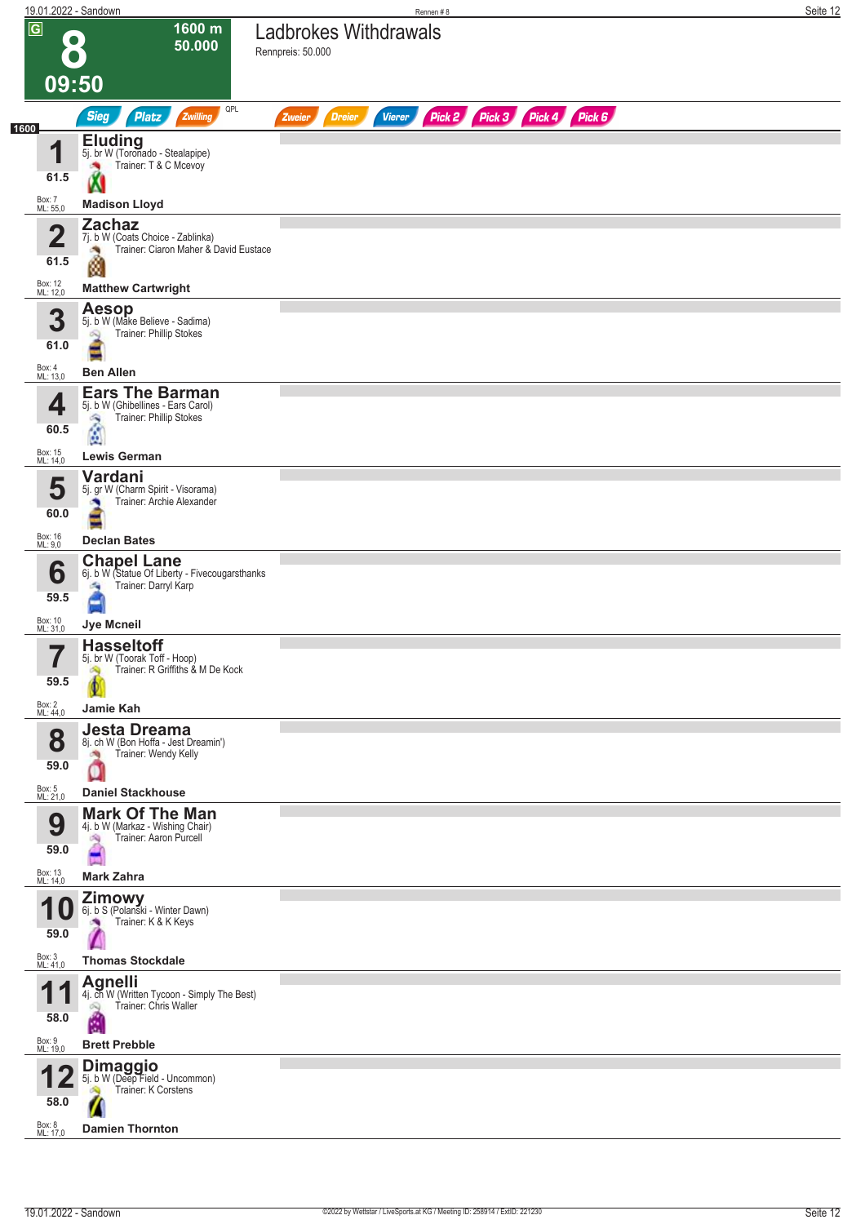|                     |                         | 19.01.2022 - Sandown                                                                                | Rennen #8                                                               | Seite 12 |
|---------------------|-------------------------|-----------------------------------------------------------------------------------------------------|-------------------------------------------------------------------------|----------|
| $\overline{G}$      | $\bullet$<br>09:50      | 1600 m<br>50.000                                                                                    | <b>Ladbrokes Withdrawals</b><br>Rennpreis: 50.000                       |          |
|                     |                         | QPL                                                                                                 |                                                                         |          |
| 1600                |                         | <b>Sieg</b><br>Zwilling<br><b>Platz</b>                                                             | Pick 2 Pick 3 Pick 4 Pick 6<br><b>Vierer</b><br><b>Dreier</b><br>Zweier |          |
|                     | и<br>Ш<br>61.5          | <b>Eluding</b><br>5j. br W (Toronado - Stealapipe)<br>Trainer: T & C Mcevoy                         |                                                                         |          |
| Box: 7<br>ML: 55,0  |                         | <b>Madison Lloyd</b>                                                                                |                                                                         |          |
|                     | $\overline{\mathbf{2}}$ | <b>Zachaz</b><br>7j. b W (Coats Choice - Zablinka)                                                  |                                                                         |          |
|                     | 61.5                    | Trainer: Ciaron Maher & David Eustace<br><b>STO</b><br>ø                                            |                                                                         |          |
| Box: 12<br>ML: 12,0 |                         | <b>Matthew Cartwright</b>                                                                           |                                                                         |          |
|                     | 3<br>61.0               | <b>Aesop</b><br>5j. b W (Make Believe - Sadima)<br>Trainer: Phillip Stokes<br>ôQ                    |                                                                         |          |
| Box: 4<br>ML: 13,0  |                         | <b>Ben Allen</b>                                                                                    |                                                                         |          |
|                     | 4<br>60.5               | <b>Ears The Barman</b><br>5j. b W (Ghibellines - Ears Carol)<br>Trainer: Phillip Stokes<br>۹<br>Ø   |                                                                         |          |
| Box: 15<br>ML: 14,0 |                         | <b>Lewis German</b>                                                                                 |                                                                         |          |
|                     | 5<br>60.0               | Vardani<br>5j. gr W (Charm Spirit - Visorama)<br>Trainer: Archie Alexander                          |                                                                         |          |
| Box: 16<br>ML: 9,0  |                         | <b>Declan Bates</b>                                                                                 |                                                                         |          |
|                     | 6<br>59.5               | <b>Chapel Lane</b><br>6j. b W (Statue Of Liberty - Fivecougarsthanks<br>Trainer: Darryl Karp<br>۰q  |                                                                         |          |
| Box: 10<br>ML: 31,0 |                         | Jye Mcneil                                                                                          |                                                                         |          |
|                     | 7<br>ı<br>59.5          | <b>Hasseltoff</b><br>5j. br W (Toorak Toff - Hoop)<br>Trainer: R Griffiths & M De Kock<br>S)        |                                                                         |          |
| Box: 2<br>ML: 44,0  |                         | Jamie Kah                                                                                           |                                                                         |          |
|                     | 8<br>59.0               | Jesta Dreama<br>8j. ch W (Bon Hoffa - Jest Dreamin')<br>Trainer: Wendy Kelly<br>ាង<br>U             |                                                                         |          |
| Box: 5<br>ML: 21,0  |                         | <b>Daniel Stackhouse</b>                                                                            |                                                                         |          |
|                     | 9<br>59.0               | <b>Mark Of The Man</b><br>4j. b W (Markaz - Wishing Chair)<br>Trainer: Aaron Purcell<br>鸿           |                                                                         |          |
| Box: 13<br>ML: 14,0 |                         | <b>Mark Zahra</b>                                                                                   |                                                                         |          |
| 4                   | 59.0                    | <b>Zimowy</b><br>6j. b S (Polanski - Winter Dawn)<br>Trainer: K & K Keys                            |                                                                         |          |
| Box: 3<br>ML: 41,0  |                         | <b>Thomas Stockdale</b>                                                                             |                                                                         |          |
| и                   | 58.0                    | <b>Agnelli</b><br>4j. ch W (Written Tycoon - Simply The Best)<br>Trainer: Chris Waller<br>OQ.<br>E. |                                                                         |          |
| Box: 9<br>ML: 19,0  |                         | <b>Brett Prebble</b>                                                                                |                                                                         |          |
| Box: 8              | 58.0                    | <b>Dimaggio</b><br>5j. b W (Deep Field - Uncommon)<br>Trainer: K Corstens                           |                                                                         |          |
| ML: 17,0            |                         | <b>Damien Thornton</b>                                                                              |                                                                         |          |